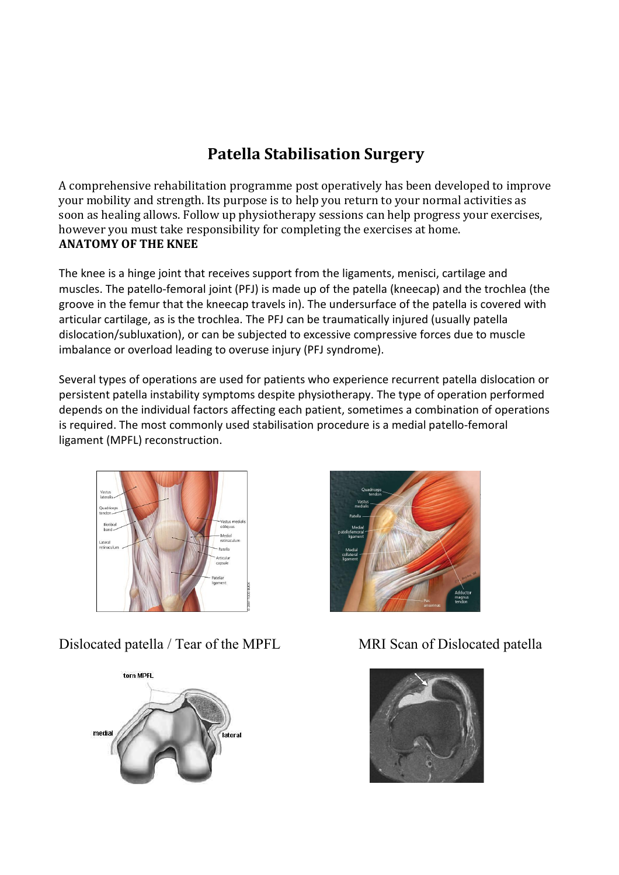# **Patella Stabilisation Surgery**

A comprehensive rehabilitation programme post operatively has been developed to improve your mobility and strength. Its purpose is to help you return to your normal activities as soon as healing allows. Follow up physiotherapy sessions can help progress your exercises, however you must take responsibility for completing the exercises at home. **ANATOMY OF THE KNEE**

The knee is a hinge joint that receives support from the ligaments, menisci, cartilage and muscles. The patello-femoral joint (PFJ) is made up of the patella (kneecap) and the trochlea (the groove in the femur that the kneecap travels in). The undersurface of the patella is covered with articular cartilage, as is the trochlea. The PFJ can be traumatically injured (usually patella dislocation/subluxation), or can be subjected to excessive compressive forces due to muscle imbalance or overload leading to overuse injury (PFJ syndrome).

Several types of operations are used for patients who experience recurrent patella dislocation or persistent patella instability symptoms despite physiotherapy. The type of operation performed depends on the individual factors affecting each patient, sometimes a combination of operations is required. The most commonly used stabilisation procedure is a medial patello-femoral ligament (MPFL) reconstruction.



Dislocated patella / Tear of the MPFL MRI Scan of Dislocated patella





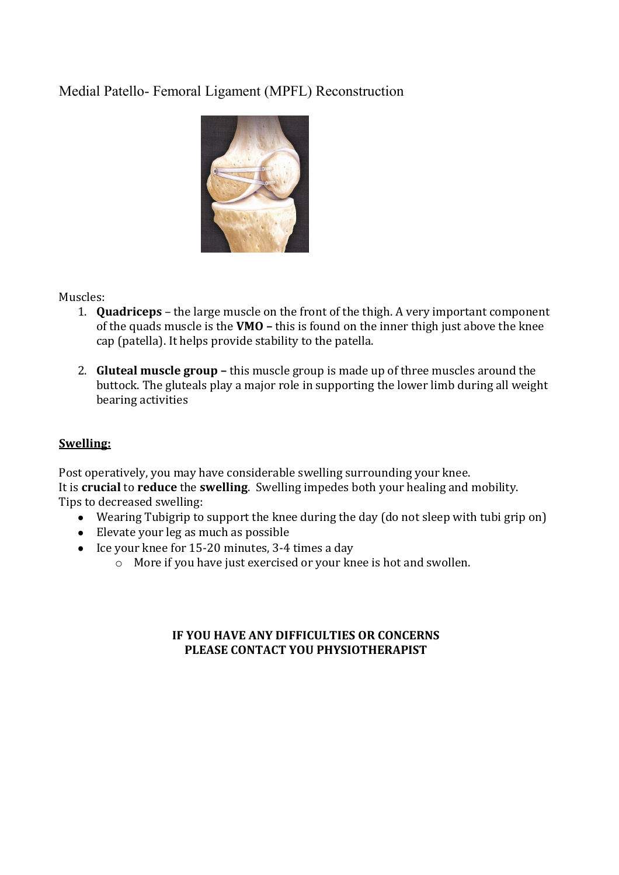## Medial Patello- Femoral Ligament (MPFL) Reconstruction



#### Muscles:

- 1. **Quadriceps** the large muscle on the front of the thigh. A very important component of the quads muscle is the **VMO –** this is found on the inner thigh just above the knee cap (patella). It helps provide stability to the patella.
- 2. **Gluteal muscle group –** this muscle group is made up of three muscles around the buttock. The gluteals play a major role in supporting the lower limb during all weight bearing activities

### **Swelling:**

Post operatively, you may have considerable swelling surrounding your knee. It is **crucial** to **reduce** the **swelling**. Swelling impedes both your healing and mobility. Tips to decreased swelling:

- Wearing Tubigrip to support the knee during the day (do not sleep with tubi grip on)
- Elevate your leg as much as possible
- $\bullet$  Ice your knee for 15-20 minutes, 3-4 times a day
	- o More if you have just exercised or your knee is hot and swollen.

#### **IF YOU HAVE ANY DIFFICULTIES OR CONCERNS PLEASE CONTACT YOU PHYSIOTHERAPIST**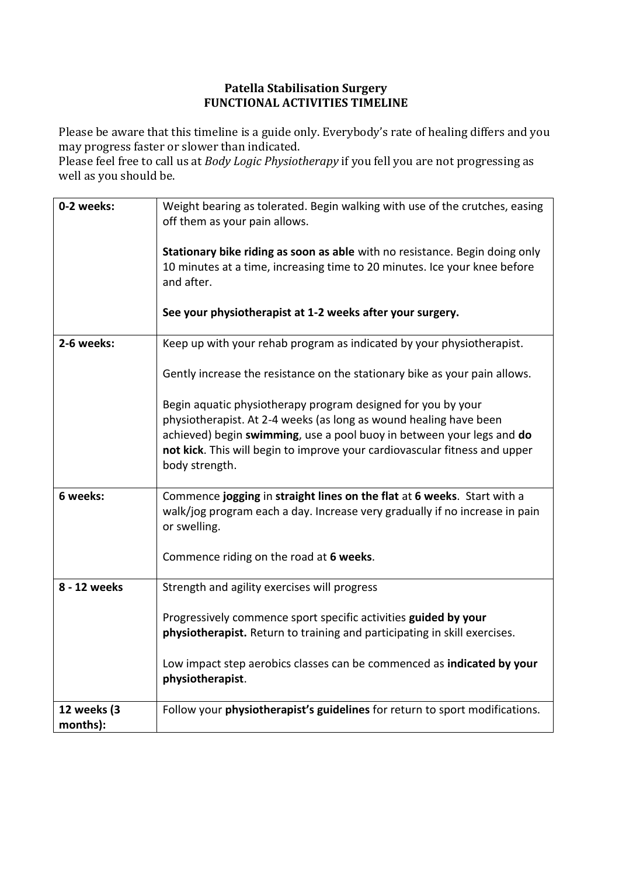#### **Patella Stabilisation Surgery FUNCTIONAL ACTIVITIES TIMELINE**

Please be aware that this timeline is a guide only. Everybody's rate of healing differs and you may progress faster or slower than indicated.

Please feel free to call us at *Body Logic Physiotherapy* if you fell you are not progressing as well as you should be.

| 0-2 weeks:              | Weight bearing as tolerated. Begin walking with use of the crutches, easing<br>off them as your pain allows.<br>Stationary bike riding as soon as able with no resistance. Begin doing only<br>10 minutes at a time, increasing time to 20 minutes. Ice your knee before<br>and after.<br>See your physiotherapist at 1-2 weeks after your surgery. |
|-------------------------|-----------------------------------------------------------------------------------------------------------------------------------------------------------------------------------------------------------------------------------------------------------------------------------------------------------------------------------------------------|
|                         |                                                                                                                                                                                                                                                                                                                                                     |
| 2-6 weeks:              | Keep up with your rehab program as indicated by your physiotherapist.                                                                                                                                                                                                                                                                               |
|                         | Gently increase the resistance on the stationary bike as your pain allows.                                                                                                                                                                                                                                                                          |
|                         | Begin aquatic physiotherapy program designed for you by your                                                                                                                                                                                                                                                                                        |
|                         | physiotherapist. At 2-4 weeks (as long as wound healing have been                                                                                                                                                                                                                                                                                   |
|                         | achieved) begin swimming, use a pool buoy in between your legs and do                                                                                                                                                                                                                                                                               |
|                         | not kick. This will begin to improve your cardiovascular fitness and upper<br>body strength.                                                                                                                                                                                                                                                        |
| 6 weeks:                | Commence jogging in straight lines on the flat at 6 weeks. Start with a<br>walk/jog program each a day. Increase very gradually if no increase in pain<br>or swelling.                                                                                                                                                                              |
|                         | Commence riding on the road at 6 weeks.                                                                                                                                                                                                                                                                                                             |
| 8 - 12 weeks            | Strength and agility exercises will progress                                                                                                                                                                                                                                                                                                        |
|                         | Progressively commence sport specific activities guided by your<br>physiotherapist. Return to training and participating in skill exercises.                                                                                                                                                                                                        |
|                         | Low impact step aerobics classes can be commenced as indicated by your<br>physiotherapist.                                                                                                                                                                                                                                                          |
| 12 weeks (3<br>months): | Follow your physiotherapist's guidelines for return to sport modifications.                                                                                                                                                                                                                                                                         |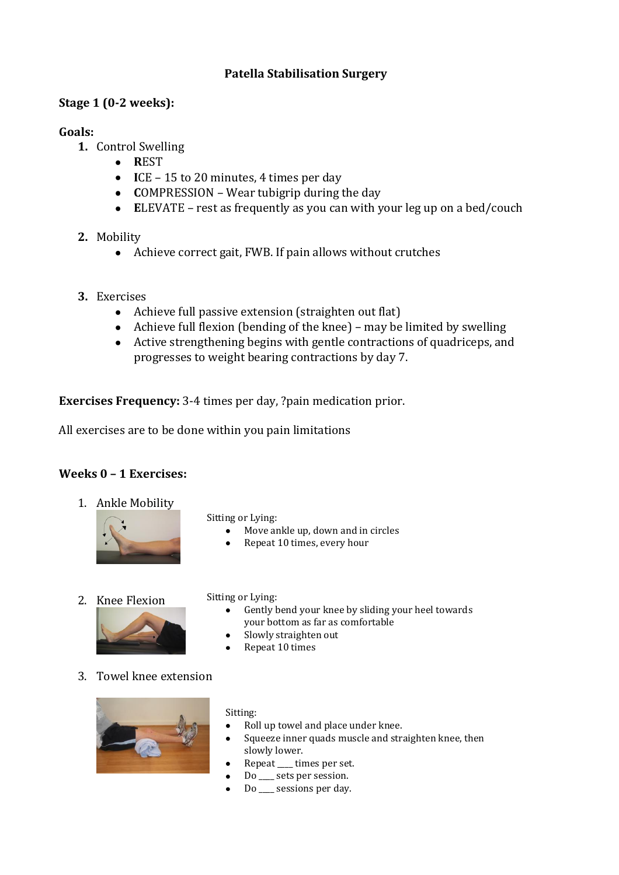### **Patella Stabilisation Surgery**

### **Stage 1 (0-2 weeks):**

#### **Goals:**

- **1.** Control Swelling
	- **R**EST
	- **I**CE 15 to 20 minutes, 4 times per day
	- **COMPRESSION** Wear tubigrip during the day
	- **E**LEVATE rest as frequently as you can with your leg up on a bed/couch
- **2.** Mobility
	- Achieve correct gait, FWB. If pain allows without crutches
- **3.** Exercises
	- Achieve full passive extension (straighten out flat)
	- Achieve full flexion (bending of the knee) may be limited by swelling
	- Active strengthening begins with gentle contractions of quadriceps, and progresses to weight bearing contractions by day 7.

**Exercises Frequency:** 3-4 times per day, ?pain medication prior.

All exercises are to be done within you pain limitations

### **Weeks 0 – 1 Exercises:**

1. Ankle Mobility



Sitting or Lying:

- $\bullet$ Move ankle up, down and in circles
- $\bullet$ Repeat 10 times, every hour
- 2. Knee Flexion



- Sitting or Lying:
	- Gently bend your knee by sliding your heel towards your bottom as far as comfortable
	- Slowly straighten out
	- $\bullet$ Repeat 10 times
- 3. Towel knee extension



#### Sitting:

- Roll up towel and place under knee.
- Squeeze inner quads muscle and straighten knee, then slowly lower.
- Repeat \_\_\_\_ times per set.  $\bullet$
- Do \_\_\_ sets per session.
- $\bullet$ Do \_\_\_\_ sessions per day.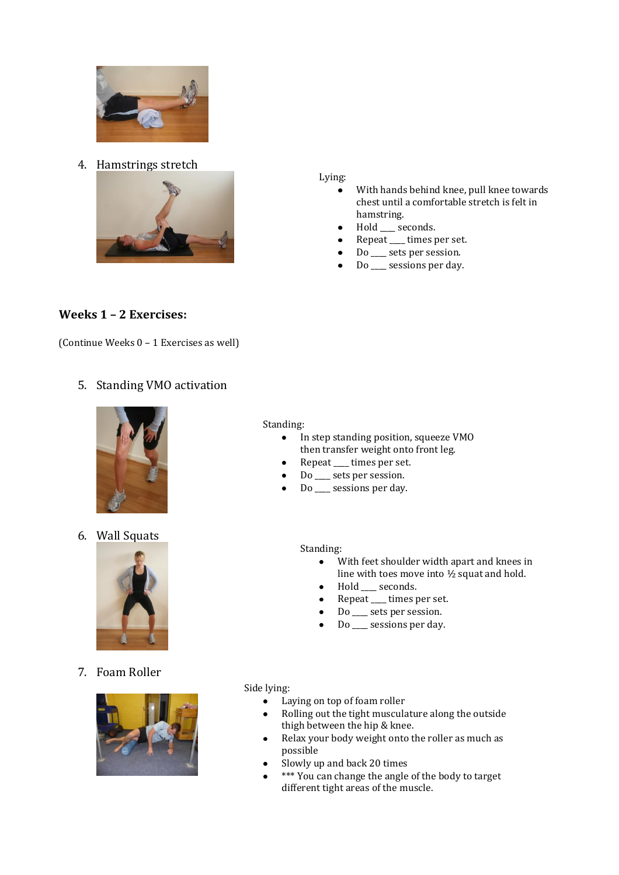

4. Hamstrings stretch



Lying:

- With hands behind knee, pull knee towards  $\bullet$ chest until a comfortable stretch is felt in hamstring.
- Hold \_\_\_ seconds.
- Repeat \_\_\_\_ times per set.  $\bullet$
- Do \_\_\_\_ sets per session.
- Do \_\_\_\_ sessions per day.  $\bullet$

#### **Weeks 1 – 2 Exercises:**

(Continue Weeks 0 – 1 Exercises as well)

#### 5. Standing VMO activation



6. Wall Squats



#### In step standing position, squeeze VMO  $\bullet$

Standing:

- then transfer weight onto front leg. Repeat \_\_\_\_ times per set.
- Do \_\_\_\_ sets per session.
- Do \_\_\_\_ sessions per day.

#### Standing:

- $\bullet$ With feet shoulder width apart and knees in line with toes move into ½ squat and hold.
- Hold \_\_\_\_ seconds.
- Repeat \_\_\_\_ times per set.
- Do \_\_\_ sets per session.
- Do \_\_\_\_ sessions per day.

7. Foam Roller



Side lying:

- Laying on top of foam roller  $\bullet$
- Rolling out the tight musculature along the outside  $\bullet$ thigh between the hip & knee.
- Relax your body weight onto the roller as much as possible
- Slowly up and back 20 times
- \*\*\* You can change the angle of the body to target different tight areas of the muscle.